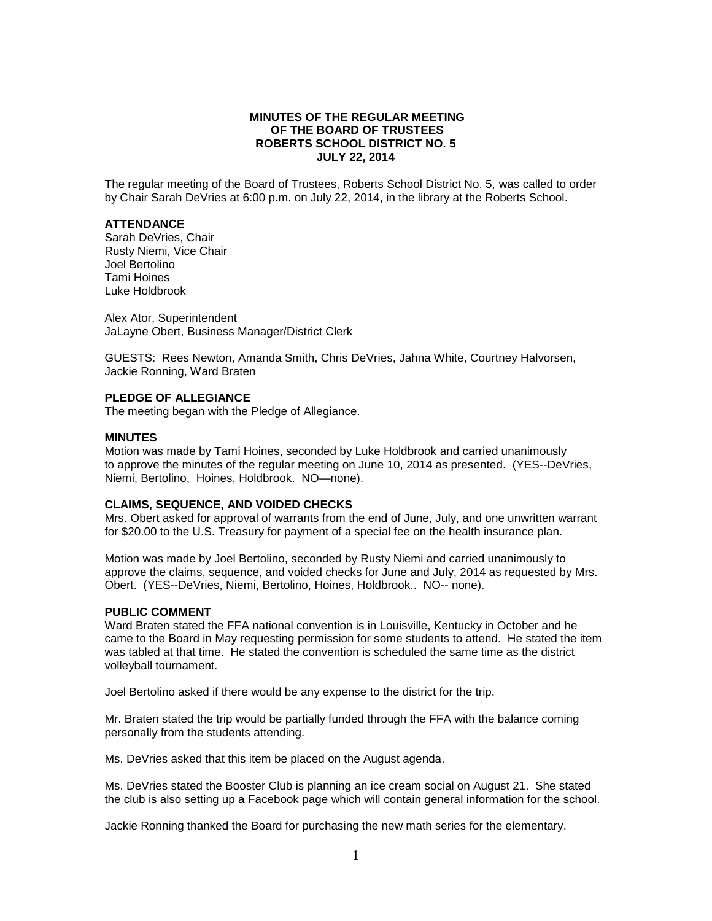# **MINUTES OF THE REGULAR MEETING OF THE BOARD OF TRUSTEES ROBERTS SCHOOL DISTRICT NO. 5 JULY 22, 2014**

The regular meeting of the Board of Trustees, Roberts School District No. 5, was called to order by Chair Sarah DeVries at 6:00 p.m. on July 22, 2014, in the library at the Roberts School.

# **ATTENDANCE**

Sarah DeVries, Chair Rusty Niemi, Vice Chair Joel Bertolino Tami Hoines Luke Holdbrook

Alex Ator, Superintendent JaLayne Obert, Business Manager/District Clerk

GUESTS: Rees Newton, Amanda Smith, Chris DeVries, Jahna White, Courtney Halvorsen, Jackie Ronning, Ward Braten

# **PLEDGE OF ALLEGIANCE**

The meeting began with the Pledge of Allegiance.

#### **MINUTES**

Motion was made by Tami Hoines, seconded by Luke Holdbrook and carried unanimously to approve the minutes of the regular meeting on June 10, 2014 as presented. (YES--DeVries, Niemi, Bertolino, Hoines, Holdbrook. NO—none).

### **CLAIMS, SEQUENCE, AND VOIDED CHECKS**

Mrs. Obert asked for approval of warrants from the end of June, July, and one unwritten warrant for \$20.00 to the U.S. Treasury for payment of a special fee on the health insurance plan.

Motion was made by Joel Bertolino, seconded by Rusty Niemi and carried unanimously to approve the claims, sequence, and voided checks for June and July, 2014 as requested by Mrs. Obert. (YES--DeVries, Niemi, Bertolino, Hoines, Holdbrook.. NO-- none).

#### **PUBLIC COMMENT**

Ward Braten stated the FFA national convention is in Louisville, Kentucky in October and he came to the Board in May requesting permission for some students to attend. He stated the item was tabled at that time. He stated the convention is scheduled the same time as the district volleyball tournament.

Joel Bertolino asked if there would be any expense to the district for the trip.

Mr. Braten stated the trip would be partially funded through the FFA with the balance coming personally from the students attending.

Ms. DeVries asked that this item be placed on the August agenda.

Ms. DeVries stated the Booster Club is planning an ice cream social on August 21. She stated the club is also setting up a Facebook page which will contain general information for the school.

Jackie Ronning thanked the Board for purchasing the new math series for the elementary.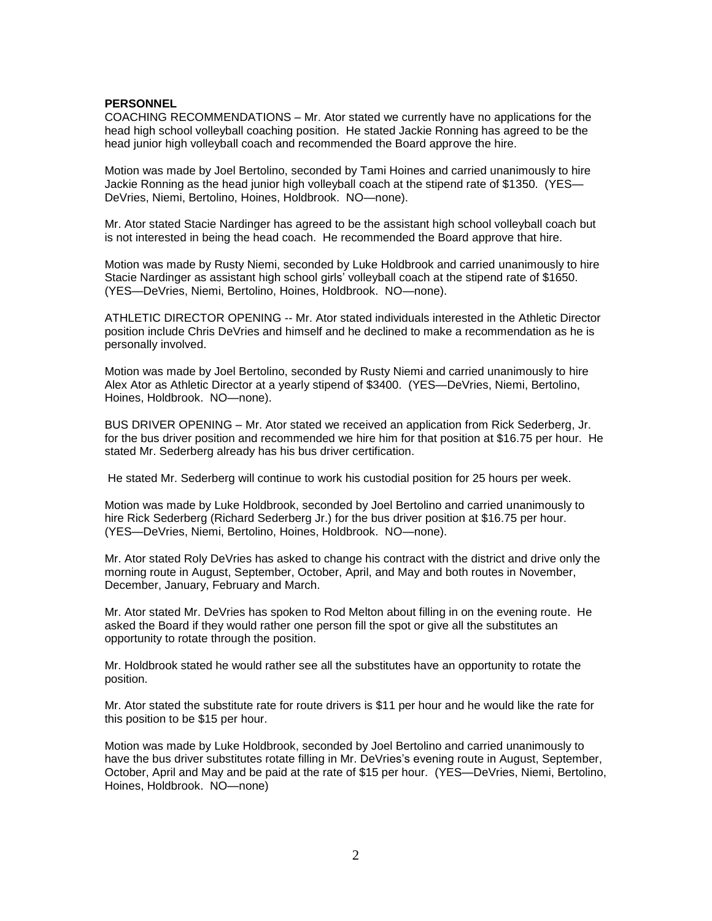### **PERSONNEL**

COACHING RECOMMENDATIONS – Mr. Ator stated we currently have no applications for the head high school volleyball coaching position. He stated Jackie Ronning has agreed to be the head junior high volleyball coach and recommended the Board approve the hire.

Motion was made by Joel Bertolino, seconded by Tami Hoines and carried unanimously to hire Jackie Ronning as the head junior high volleyball coach at the stipend rate of \$1350. (YES— DeVries, Niemi, Bertolino, Hoines, Holdbrook. NO—none).

Mr. Ator stated Stacie Nardinger has agreed to be the assistant high school volleyball coach but is not interested in being the head coach. He recommended the Board approve that hire.

Motion was made by Rusty Niemi, seconded by Luke Holdbrook and carried unanimously to hire Stacie Nardinger as assistant high school girls' volleyball coach at the stipend rate of \$1650. (YES—DeVries, Niemi, Bertolino, Hoines, Holdbrook. NO—none).

ATHLETIC DIRECTOR OPENING -- Mr. Ator stated individuals interested in the Athletic Director position include Chris DeVries and himself and he declined to make a recommendation as he is personally involved.

Motion was made by Joel Bertolino, seconded by Rusty Niemi and carried unanimously to hire Alex Ator as Athletic Director at a yearly stipend of \$3400. (YES—DeVries, Niemi, Bertolino, Hoines, Holdbrook. NO—none).

BUS DRIVER OPENING – Mr. Ator stated we received an application from Rick Sederberg, Jr. for the bus driver position and recommended we hire him for that position at \$16.75 per hour. He stated Mr. Sederberg already has his bus driver certification.

He stated Mr. Sederberg will continue to work his custodial position for 25 hours per week.

Motion was made by Luke Holdbrook, seconded by Joel Bertolino and carried unanimously to hire Rick Sederberg (Richard Sederberg Jr.) for the bus driver position at \$16.75 per hour. (YES—DeVries, Niemi, Bertolino, Hoines, Holdbrook. NO—none).

Mr. Ator stated Roly DeVries has asked to change his contract with the district and drive only the morning route in August, September, October, April, and May and both routes in November, December, January, February and March.

Mr. Ator stated Mr. DeVries has spoken to Rod Melton about filling in on the evening route. He asked the Board if they would rather one person fill the spot or give all the substitutes an opportunity to rotate through the position.

Mr. Holdbrook stated he would rather see all the substitutes have an opportunity to rotate the position.

Mr. Ator stated the substitute rate for route drivers is \$11 per hour and he would like the rate for this position to be \$15 per hour.

Motion was made by Luke Holdbrook, seconded by Joel Bertolino and carried unanimously to have the bus driver substitutes rotate filling in Mr. DeVries's evening route in August, September, October, April and May and be paid at the rate of \$15 per hour. (YES—DeVries, Niemi, Bertolino, Hoines, Holdbrook. NO—none)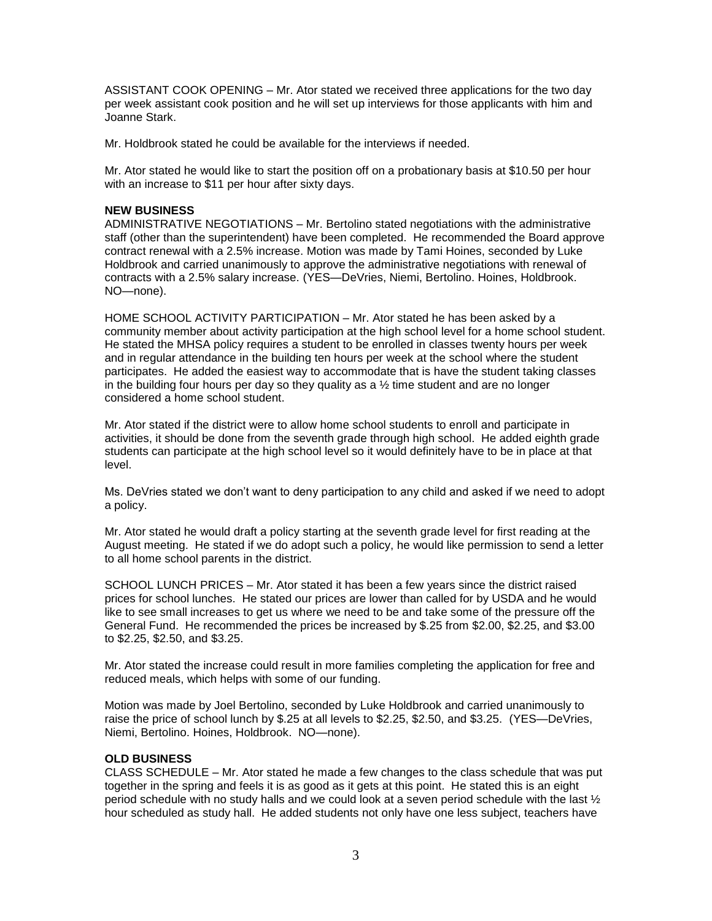ASSISTANT COOK OPENING – Mr. Ator stated we received three applications for the two day per week assistant cook position and he will set up interviews for those applicants with him and Joanne Stark.

Mr. Holdbrook stated he could be available for the interviews if needed.

Mr. Ator stated he would like to start the position off on a probationary basis at \$10.50 per hour with an increase to \$11 per hour after sixty days.

# **NEW BUSINESS**

ADMINISTRATIVE NEGOTIATIONS – Mr. Bertolino stated negotiations with the administrative staff (other than the superintendent) have been completed. He recommended the Board approve contract renewal with a 2.5% increase. Motion was made by Tami Hoines, seconded by Luke Holdbrook and carried unanimously to approve the administrative negotiations with renewal of contracts with a 2.5% salary increase. (YES—DeVries, Niemi, Bertolino. Hoines, Holdbrook. NO—none).

HOME SCHOOL ACTIVITY PARTICIPATION – Mr. Ator stated he has been asked by a community member about activity participation at the high school level for a home school student. He stated the MHSA policy requires a student to be enrolled in classes twenty hours per week and in regular attendance in the building ten hours per week at the school where the student participates. He added the easiest way to accommodate that is have the student taking classes in the building four hours per day so they quality as a  $\frac{1}{2}$  time student and are no longer considered a home school student.

Mr. Ator stated if the district were to allow home school students to enroll and participate in activities, it should be done from the seventh grade through high school. He added eighth grade students can participate at the high school level so it would definitely have to be in place at that level.

Ms. DeVries stated we don't want to deny participation to any child and asked if we need to adopt a policy.

Mr. Ator stated he would draft a policy starting at the seventh grade level for first reading at the August meeting. He stated if we do adopt such a policy, he would like permission to send a letter to all home school parents in the district.

SCHOOL LUNCH PRICES – Mr. Ator stated it has been a few years since the district raised prices for school lunches. He stated our prices are lower than called for by USDA and he would like to see small increases to get us where we need to be and take some of the pressure off the General Fund. He recommended the prices be increased by \$.25 from \$2.00, \$2.25, and \$3.00 to \$2.25, \$2.50, and \$3.25.

Mr. Ator stated the increase could result in more families completing the application for free and reduced meals, which helps with some of our funding.

Motion was made by Joel Bertolino, seconded by Luke Holdbrook and carried unanimously to raise the price of school lunch by \$.25 at all levels to \$2.25, \$2.50, and \$3.25. (YES—DeVries, Niemi, Bertolino. Hoines, Holdbrook. NO—none).

# **OLD BUSINESS**

CLASS SCHEDULE – Mr. Ator stated he made a few changes to the class schedule that was put together in the spring and feels it is as good as it gets at this point. He stated this is an eight period schedule with no study halls and we could look at a seven period schedule with the last ½ hour scheduled as study hall. He added students not only have one less subject, teachers have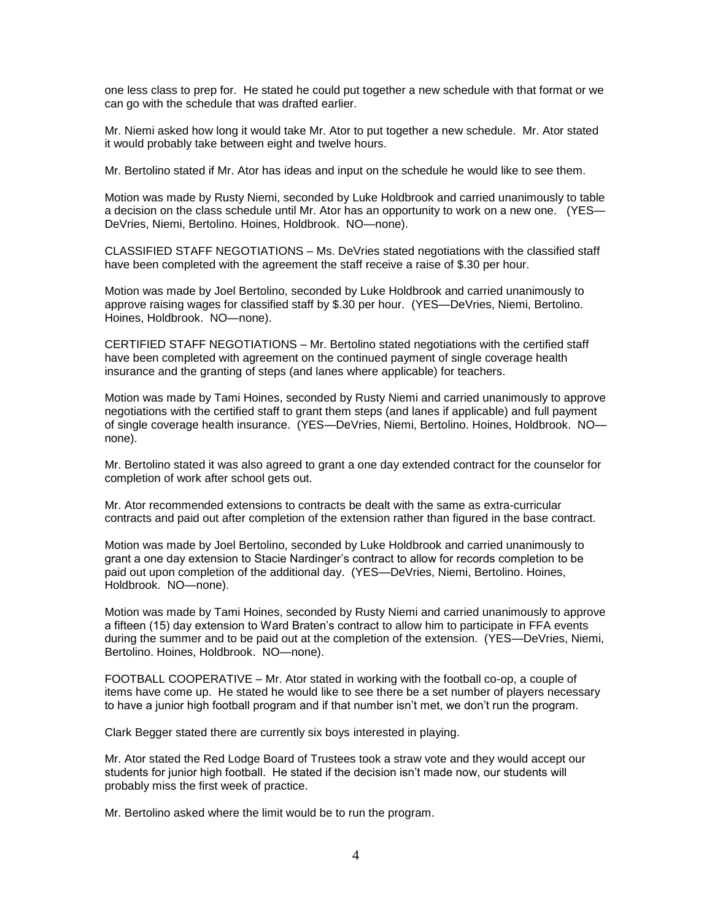one less class to prep for. He stated he could put together a new schedule with that format or we can go with the schedule that was drafted earlier.

Mr. Niemi asked how long it would take Mr. Ator to put together a new schedule. Mr. Ator stated it would probably take between eight and twelve hours.

Mr. Bertolino stated if Mr. Ator has ideas and input on the schedule he would like to see them.

Motion was made by Rusty Niemi, seconded by Luke Holdbrook and carried unanimously to table a decision on the class schedule until Mr. Ator has an opportunity to work on a new one. (YES— DeVries, Niemi, Bertolino. Hoines, Holdbrook. NO—none).

CLASSIFIED STAFF NEGOTIATIONS – Ms. DeVries stated negotiations with the classified staff have been completed with the agreement the staff receive a raise of \$.30 per hour.

Motion was made by Joel Bertolino, seconded by Luke Holdbrook and carried unanimously to approve raising wages for classified staff by \$.30 per hour. (YES—DeVries, Niemi, Bertolino. Hoines, Holdbrook. NO—none).

CERTIFIED STAFF NEGOTIATIONS – Mr. Bertolino stated negotiations with the certified staff have been completed with agreement on the continued payment of single coverage health insurance and the granting of steps (and lanes where applicable) for teachers.

Motion was made by Tami Hoines, seconded by Rusty Niemi and carried unanimously to approve negotiations with the certified staff to grant them steps (and lanes if applicable) and full payment of single coverage health insurance. (YES—DeVries, Niemi, Bertolino. Hoines, Holdbrook. NO none).

Mr. Bertolino stated it was also agreed to grant a one day extended contract for the counselor for completion of work after school gets out.

Mr. Ator recommended extensions to contracts be dealt with the same as extra-curricular contracts and paid out after completion of the extension rather than figured in the base contract.

Motion was made by Joel Bertolino, seconded by Luke Holdbrook and carried unanimously to grant a one day extension to Stacie Nardinger's contract to allow for records completion to be paid out upon completion of the additional day. (YES—DeVries, Niemi, Bertolino. Hoines, Holdbrook. NO—none).

Motion was made by Tami Hoines, seconded by Rusty Niemi and carried unanimously to approve a fifteen (15) day extension to Ward Braten's contract to allow him to participate in FFA events during the summer and to be paid out at the completion of the extension. (YES—DeVries, Niemi, Bertolino. Hoines, Holdbrook. NO—none).

FOOTBALL COOPERATIVE – Mr. Ator stated in working with the football co-op, a couple of items have come up. He stated he would like to see there be a set number of players necessary to have a junior high football program and if that number isn't met, we don't run the program.

Clark Begger stated there are currently six boys interested in playing.

Mr. Ator stated the Red Lodge Board of Trustees took a straw vote and they would accept our students for junior high football. He stated if the decision isn't made now, our students will probably miss the first week of practice.

Mr. Bertolino asked where the limit would be to run the program.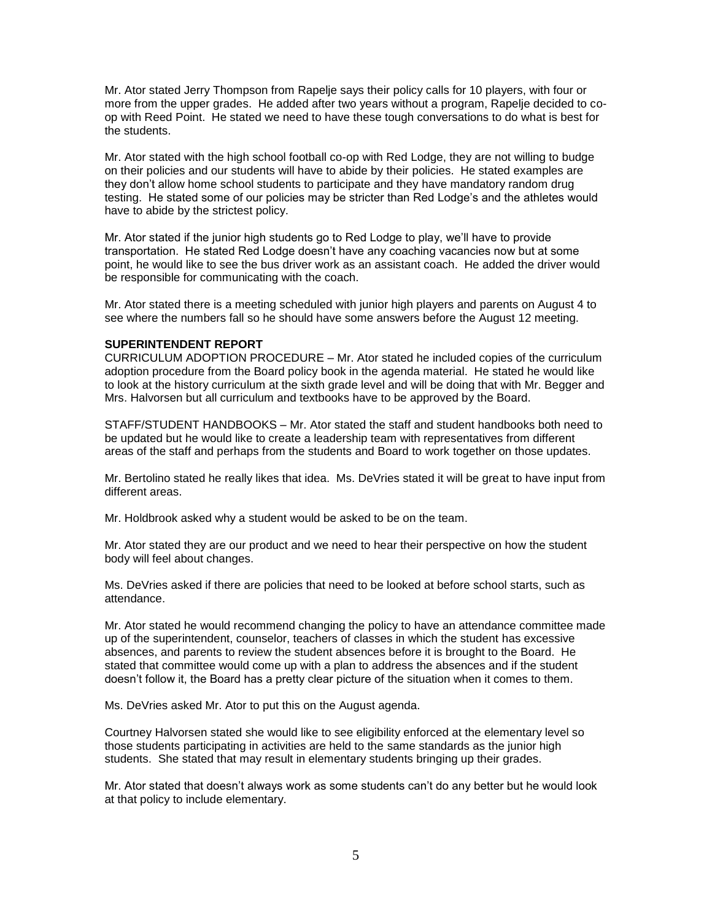Mr. Ator stated Jerry Thompson from Rapelje says their policy calls for 10 players, with four or more from the upper grades. He added after two years without a program, Rapelje decided to coop with Reed Point. He stated we need to have these tough conversations to do what is best for the students.

Mr. Ator stated with the high school football co-op with Red Lodge, they are not willing to budge on their policies and our students will have to abide by their policies. He stated examples are they don't allow home school students to participate and they have mandatory random drug testing. He stated some of our policies may be stricter than Red Lodge's and the athletes would have to abide by the strictest policy.

Mr. Ator stated if the junior high students go to Red Lodge to play, we'll have to provide transportation. He stated Red Lodge doesn't have any coaching vacancies now but at some point, he would like to see the bus driver work as an assistant coach. He added the driver would be responsible for communicating with the coach.

Mr. Ator stated there is a meeting scheduled with junior high players and parents on August 4 to see where the numbers fall so he should have some answers before the August 12 meeting.

## **SUPERINTENDENT REPORT**

CURRICULUM ADOPTION PROCEDURE – Mr. Ator stated he included copies of the curriculum adoption procedure from the Board policy book in the agenda material. He stated he would like to look at the history curriculum at the sixth grade level and will be doing that with Mr. Begger and Mrs. Halvorsen but all curriculum and textbooks have to be approved by the Board.

STAFF/STUDENT HANDBOOKS – Mr. Ator stated the staff and student handbooks both need to be updated but he would like to create a leadership team with representatives from different areas of the staff and perhaps from the students and Board to work together on those updates.

Mr. Bertolino stated he really likes that idea. Ms. DeVries stated it will be great to have input from different areas.

Mr. Holdbrook asked why a student would be asked to be on the team.

Mr. Ator stated they are our product and we need to hear their perspective on how the student body will feel about changes.

Ms. DeVries asked if there are policies that need to be looked at before school starts, such as attendance.

Mr. Ator stated he would recommend changing the policy to have an attendance committee made up of the superintendent, counselor, teachers of classes in which the student has excessive absences, and parents to review the student absences before it is brought to the Board. He stated that committee would come up with a plan to address the absences and if the student doesn't follow it, the Board has a pretty clear picture of the situation when it comes to them.

Ms. DeVries asked Mr. Ator to put this on the August agenda.

Courtney Halvorsen stated she would like to see eligibility enforced at the elementary level so those students participating in activities are held to the same standards as the junior high students. She stated that may result in elementary students bringing up their grades.

Mr. Ator stated that doesn't always work as some students can't do any better but he would look at that policy to include elementary.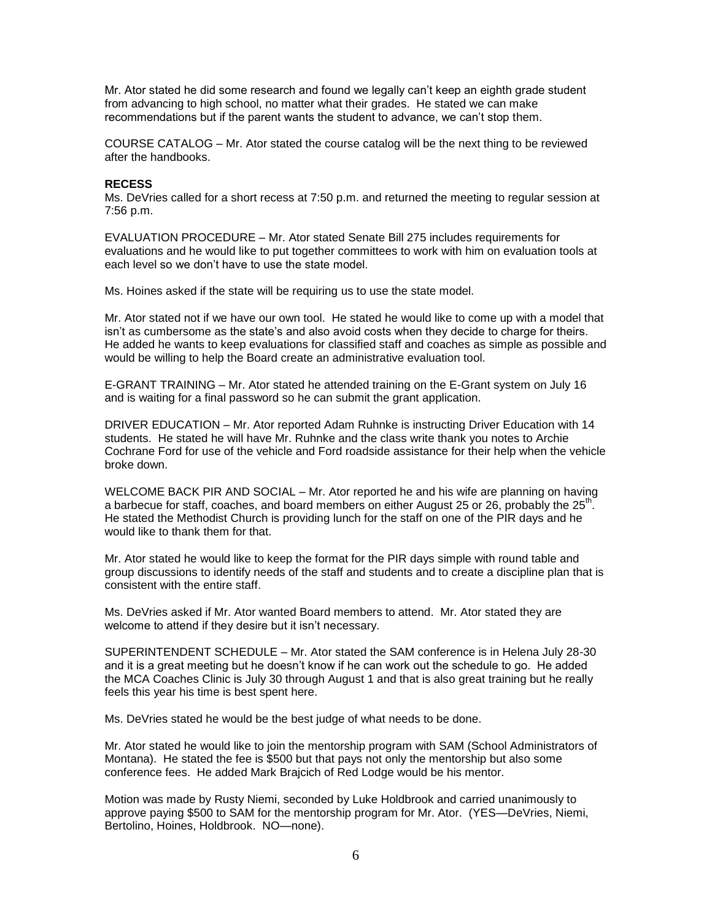Mr. Ator stated he did some research and found we legally can't keep an eighth grade student from advancing to high school, no matter what their grades. He stated we can make recommendations but if the parent wants the student to advance, we can't stop them.

COURSE CATALOG – Mr. Ator stated the course catalog will be the next thing to be reviewed after the handbooks.

### **RECESS**

Ms. DeVries called for a short recess at 7:50 p.m. and returned the meeting to regular session at 7:56 p.m.

EVALUATION PROCEDURE – Mr. Ator stated Senate Bill 275 includes requirements for evaluations and he would like to put together committees to work with him on evaluation tools at each level so we don't have to use the state model.

Ms. Hoines asked if the state will be requiring us to use the state model.

Mr. Ator stated not if we have our own tool. He stated he would like to come up with a model that isn't as cumbersome as the state's and also avoid costs when they decide to charge for theirs. He added he wants to keep evaluations for classified staff and coaches as simple as possible and would be willing to help the Board create an administrative evaluation tool.

E-GRANT TRAINING – Mr. Ator stated he attended training on the E-Grant system on July 16 and is waiting for a final password so he can submit the grant application.

DRIVER EDUCATION – Mr. Ator reported Adam Ruhnke is instructing Driver Education with 14 students. He stated he will have Mr. Ruhnke and the class write thank you notes to Archie Cochrane Ford for use of the vehicle and Ford roadside assistance for their help when the vehicle broke down.

WELCOME BACK PIR AND SOCIAL – Mr. Ator reported he and his wife are planning on having a barbecue for staff, coaches, and board members on either August 25 or 26, probably the 25<sup>th</sup>. He stated the Methodist Church is providing lunch for the staff on one of the PIR days and he would like to thank them for that.

Mr. Ator stated he would like to keep the format for the PIR days simple with round table and group discussions to identify needs of the staff and students and to create a discipline plan that is consistent with the entire staff.

Ms. DeVries asked if Mr. Ator wanted Board members to attend. Mr. Ator stated they are welcome to attend if they desire but it isn't necessary.

SUPERINTENDENT SCHEDULE – Mr. Ator stated the SAM conference is in Helena July 28-30 and it is a great meeting but he doesn't know if he can work out the schedule to go. He added the MCA Coaches Clinic is July 30 through August 1 and that is also great training but he really feels this year his time is best spent here.

Ms. DeVries stated he would be the best judge of what needs to be done.

Mr. Ator stated he would like to join the mentorship program with SAM (School Administrators of Montana). He stated the fee is \$500 but that pays not only the mentorship but also some conference fees. He added Mark Brajcich of Red Lodge would be his mentor.

Motion was made by Rusty Niemi, seconded by Luke Holdbrook and carried unanimously to approve paying \$500 to SAM for the mentorship program for Mr. Ator. (YES—DeVries, Niemi, Bertolino, Hoines, Holdbrook. NO—none).